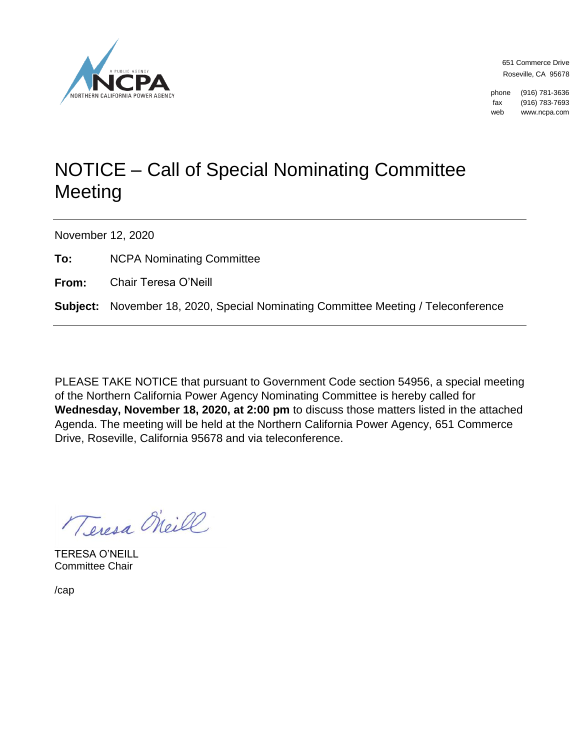

651 Commerce Drive Roseville, CA 95678

phone (916) 781-3636 fax (916) 783-7693 web www.ncpa.com

## NOTICE – Call of Special Nominating Committee Meeting

November 12, 2020

**To:** NCPA Nominating Committee

**From:** Chair Teresa O'Neill

**Subject:** November 18, 2020, Special Nominating Committee Meeting / Teleconference

PLEASE TAKE NOTICE that pursuant to Government Code section 54956, a special meeting of the Northern California Power Agency Nominating Committee is hereby called for **Wednesday, November 18, 2020, at 2:00 pm** to discuss those matters listed in the attached Agenda. The meeting will be held at the Northern California Power Agency, 651 Commerce Drive, Roseville, California 95678 and via teleconference.

Teresa Oheill

TERESA O'NEILL Committee Chair

/cap